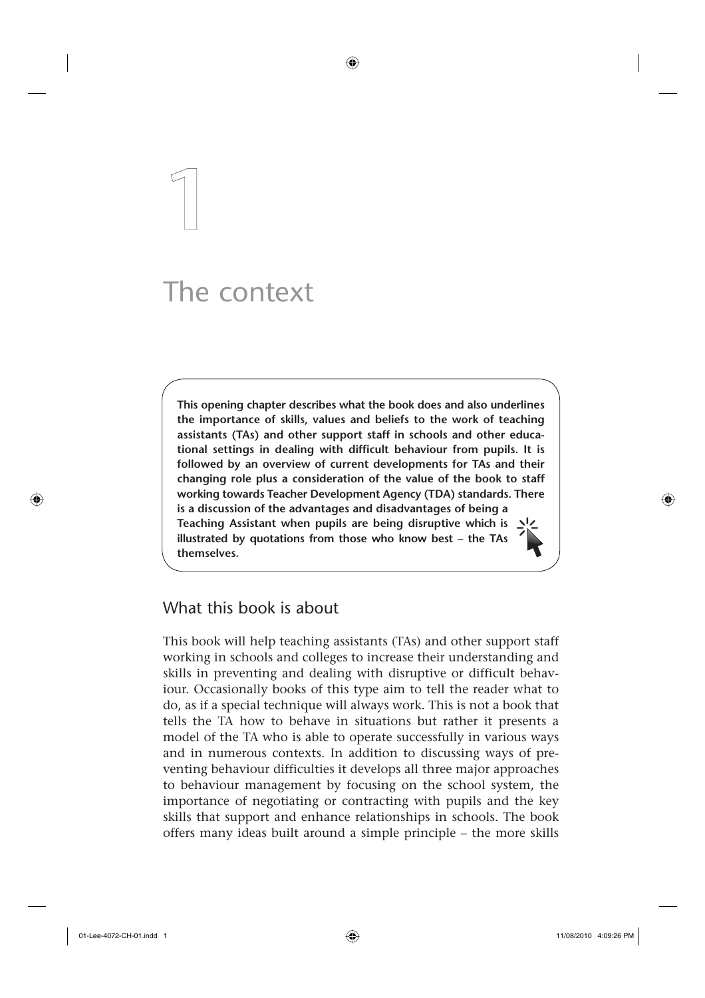# The context

**This opening chapter describes what the book does and also underlines the importance of skills, values and beliefs to the work of teaching assistants (TAs) and other support staff in schools and other educational settings in dealing with difficult behaviour from pupils. It is followed by an overview of current developments for TAs and their changing role plus a consideration of the value of the book to staff working towards Teacher Development Agency (TDA) standards. There is a discussion of the advantages and disadvantages of being a Teaching Assistant when pupils are being disruptive which is illustrated by quotations from those who know best – the TAs themselves.**

◈

# What this book is about

This book will help teaching assistants (TAs) and other support staff working in schools and colleges to increase their understanding and skills in preventing and dealing with disruptive or difficult behaviour. Occasionally books of this type aim to tell the reader what to do, as if a special technique will always work. This is not a book that tells the TA how to behave in situations but rather it presents a model of the TA who is able to operate successfully in various ways and in numerous contexts. In addition to discussing ways of preventing behaviour difficulties it develops all three major approaches to behaviour management by focusing on the school system, the importance of negotiating or contracting with pupils and the key skills that support and enhance relationships in schools. The book offers many ideas built around a simple principle – the more skills

⊕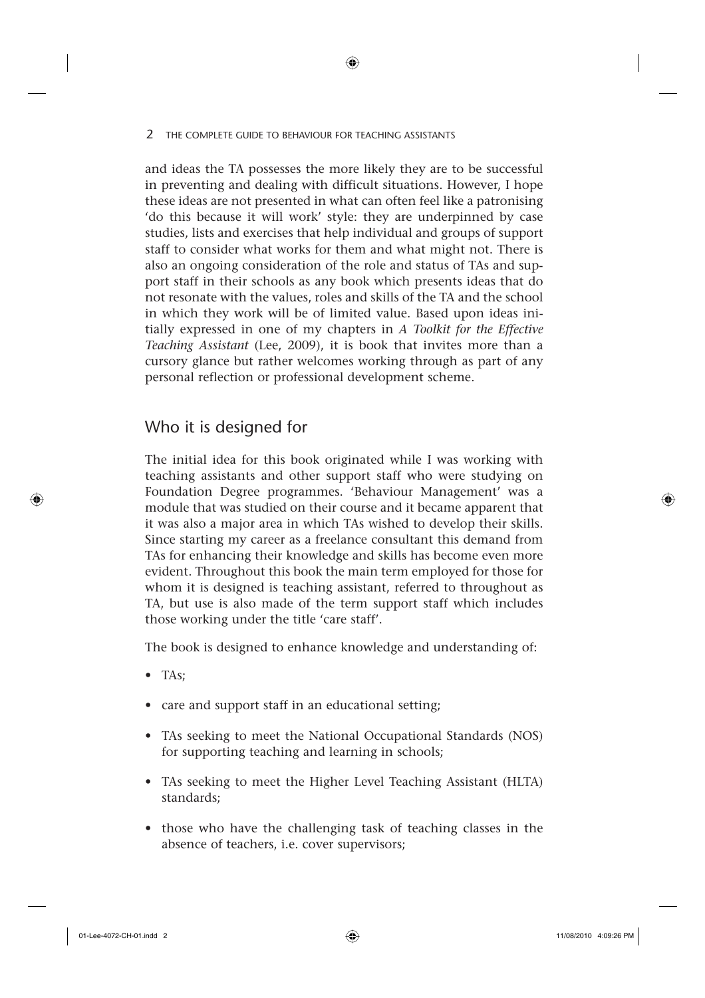and ideas the TA possesses the more likely they are to be successful in preventing and dealing with difficult situations. However, I hope these ideas are not presented in what can often feel like a patronising 'do this because it will work' style: they are underpinned by case studies, lists and exercises that help individual and groups of support staff to consider what works for them and what might not. There is also an ongoing consideration of the role and status of TAs and support staff in their schools as any book which presents ideas that do not resonate with the values, roles and skills of the TA and the school in which they work will be of limited value. Based upon ideas initially expressed in one of my chapters in *A Toolkit for the Effective Teaching Assistant* (Lee, 2009), it is book that invites more than a cursory glance but rather welcomes working through as part of any personal reflection or professional development scheme.

♠

## Who it is designed for

The initial idea for this book originated while I was working with teaching assistants and other support staff who were studying on Foundation Degree programmes. 'Behaviour Management' was a module that was studied on their course and it became apparent that it was also a major area in which TAs wished to develop their skills. Since starting my career as a freelance consultant this demand from TAs for enhancing their knowledge and skills has become even more evident. Throughout this book the main term employed for those for whom it is designed is teaching assistant, referred to throughout as TA, but use is also made of the term support staff which includes those working under the title 'care staff'.

The book is designed to enhance knowledge and understanding of:

 $\bullet$  TAs;

⊕

- care and support staff in an educational setting;
- TAs seeking to meet the National Occupational Standards (NOS) for supporting teaching and learning in schools;
- TAs seeking to meet the Higher Level Teaching Assistant (HLTA) standards:
- those who have the challenging task of teaching classes in the absence of teachers, i.e. cover supervisors;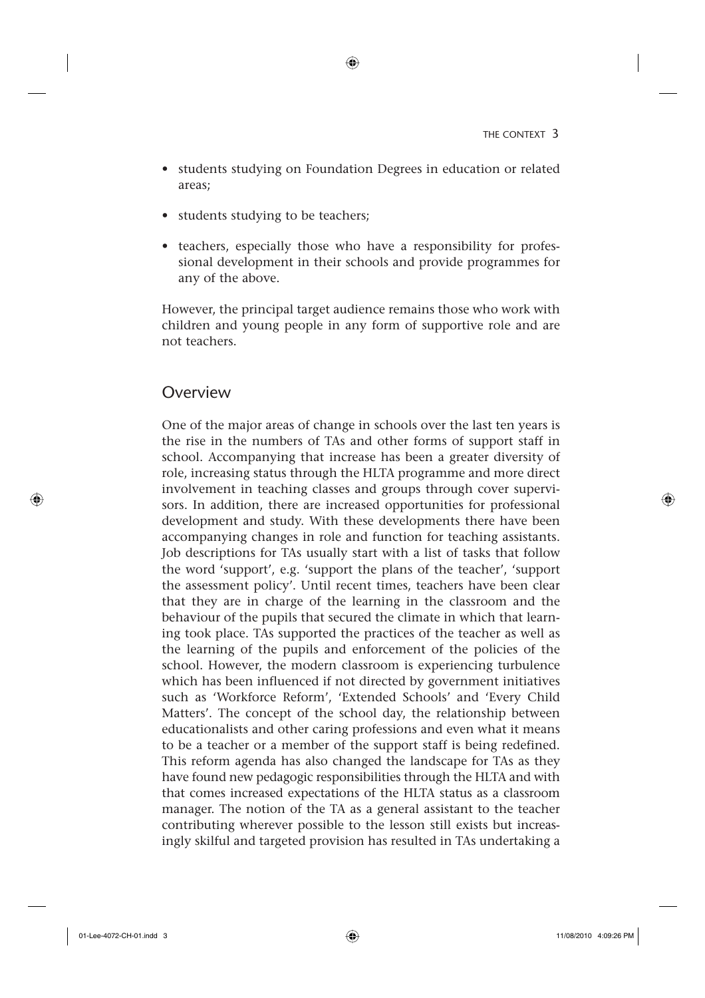students studying on Foundation Degrees in education or related areas:

◈

- students studying to be teachers;
- teachers, especially those who have a responsibility for professional development in their schools and provide programmes for any of the above.

However, the principal target audience remains those who work with children and young people in any form of supportive role and are not teachers.

## Overview

One of the major areas of change in schools over the last ten years is the rise in the numbers of TAs and other forms of support staff in school. Accompanying that increase has been a greater diversity of role, increasing status through the HLTA programme and more direct involvement in teaching classes and groups through cover supervisors. In addition, there are increased opportunities for professional development and study. With these developments there have been accompanying changes in role and function for teaching assistants. Job descriptions for TAs usually start with a list of tasks that follow the word 'support', e.g. 'support the plans of the teacher', 'support the assessment policy'. Until recent times, teachers have been clear that they are in charge of the learning in the classroom and the behaviour of the pupils that secured the climate in which that learning took place. TAs supported the practices of the teacher as well as the learning of the pupils and enforcement of the policies of the school. However, the modern classroom is experiencing turbulence which has been influenced if not directed by government initiatives such as 'Workforce Reform', 'Extended Schools' and 'Every Child Matters'. The concept of the school day, the relationship between educationalists and other caring professions and even what it means to be a teacher or a member of the support staff is being redefined. This reform agenda has also changed the landscape for TAs as they have found new pedagogic responsibilities through the HLTA and with that comes increased expectations of the HLTA status as a classroom manager. The notion of the TA as a general assistant to the teacher contributing wherever possible to the lesson still exists but increasingly skilful and targeted provision has resulted in TAs undertaking a

⊕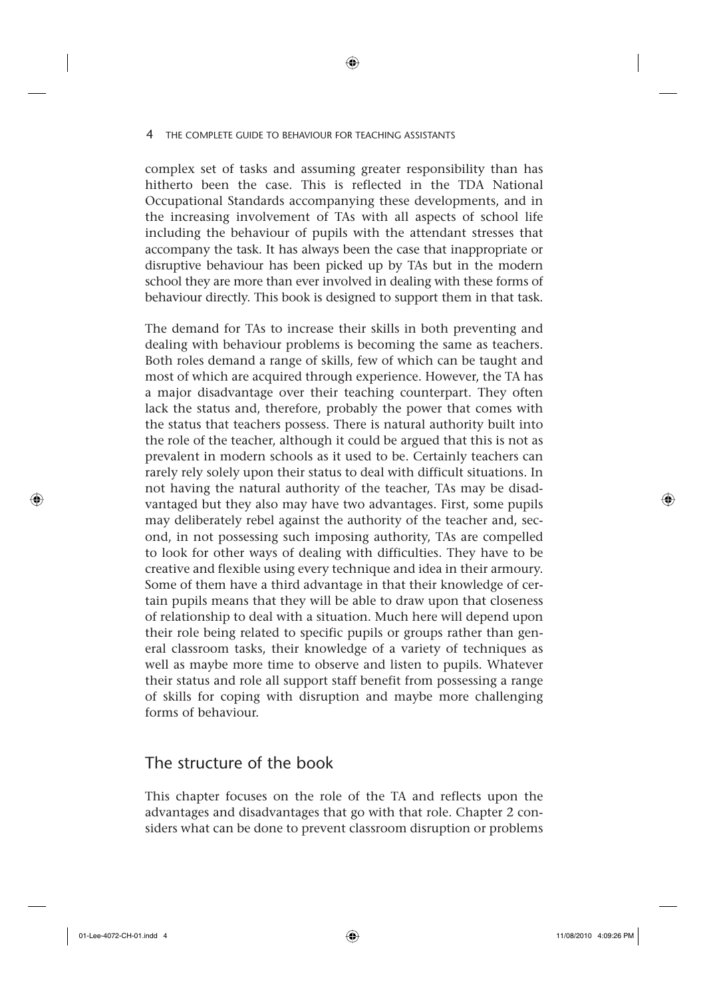complex set of tasks and assuming greater responsibility than has hitherto been the case. This is reflected in the TDA National Occupational Standards accompanying these developments, and in the increasing involvement of TAs with all aspects of school life including the behaviour of pupils with the attendant stresses that accompany the task. It has always been the case that inappropriate or disruptive behaviour has been picked up by TAs but in the modern school they are more than ever involved in dealing with these forms of behaviour directly. This book is designed to support them in that task.

◈

The demand for TAs to increase their skills in both preventing and dealing with behaviour problems is becoming the same as teachers. Both roles demand a range of skills, few of which can be taught and most of which are acquired through experience. However, the TA has a major disadvantage over their teaching counterpart. They often lack the status and, therefore, probably the power that comes with the status that teachers possess. There is natural authority built into the role of the teacher, although it could be argued that this is not as prevalent in modern schools as it used to be. Certainly teachers can rarely rely solely upon their status to deal with difficult situations. In not having the natural authority of the teacher, TAs may be disadvantaged but they also may have two advantages. First, some pupils may deliberately rebel against the authority of the teacher and, second, in not possessing such imposing authority, TAs are compelled to look for other ways of dealing with difficulties. They have to be creative and flexible using every technique and idea in their armoury. Some of them have a third advantage in that their knowledge of certain pupils means that they will be able to draw upon that closeness of relationship to deal with a situation. Much here will depend upon their role being related to specific pupils or groups rather than general classroom tasks, their knowledge of a variety of techniques as well as maybe more time to observe and listen to pupils. Whatever their status and role all support staff benefit from possessing a range of skills for coping with disruption and maybe more challenging forms of behaviour.

# The structure of the book

This chapter focuses on the role of the TA and reflects upon the advantages and disadvantages that go with that role. Chapter 2 considers what can be done to prevent classroom disruption or problems

⊕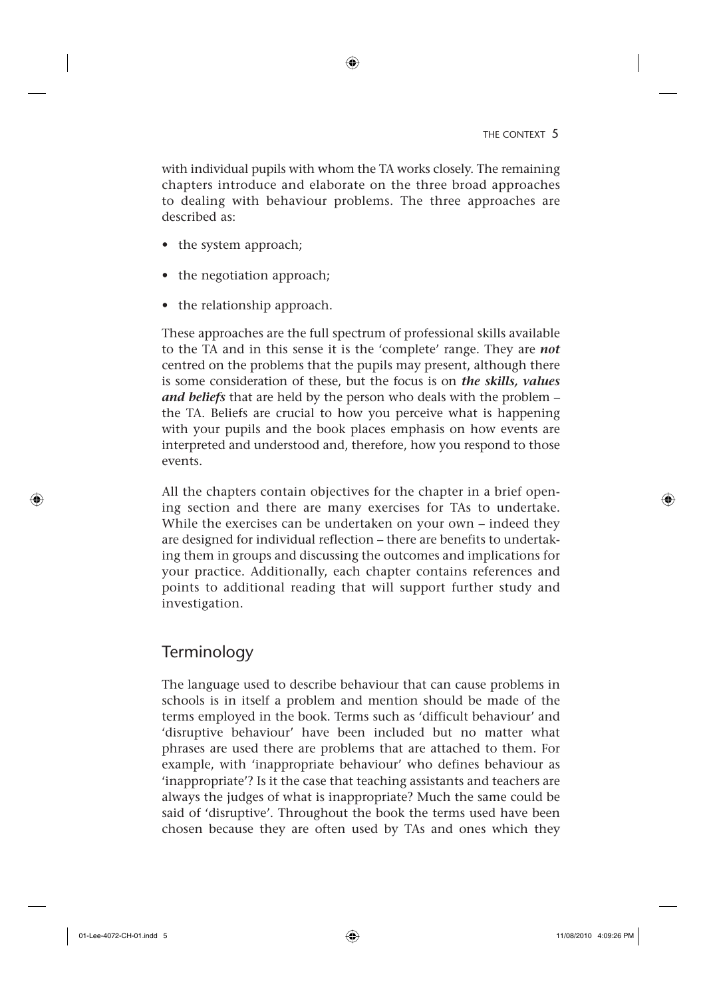with individual pupils with whom the TA works closely. The remaining chapters introduce and elaborate on the three broad approaches to dealing with behaviour problems. The three approaches are described as:

◈

- the system approach;
- the negotiation approach;
- the relationship approach.

These approaches are the full spectrum of professional skills available to the TA and in this sense it is the 'complete' range. They are *not* centred on the problems that the pupils may present, although there is some consideration of these, but the focus is on *the skills, values and beliefs* that are held by the person who deals with the problem – the TA. Beliefs are crucial to how you perceive what is happening with your pupils and the book places emphasis on how events are interpreted and understood and, therefore, how you respond to those events.

All the chapters contain objectives for the chapter in a brief opening section and there are many exercises for TAs to undertake. While the exercises can be undertaken on your own – indeed they are designed for individual reflection – there are benefits to undertaking them in groups and discussing the outcomes and implications for your practice. Additionally, each chapter contains references and points to additional reading that will support further study and investigation.

# **Terminology**

The language used to describe behaviour that can cause problems in schools is in itself a problem and mention should be made of the terms employed in the book. Terms such as 'difficult behaviour' and 'disruptive behaviour' have been included but no matter what phrases are used there are problems that are attached to them. For example, with 'inappropriate behaviour' who defines behaviour as 'inappropriate'? Is it the case that teaching assistants and teachers are always the judges of what is inappropriate? Much the same could be said of 'disruptive'. Throughout the book the terms used have been chosen because they are often used by TAs and ones which they

⊕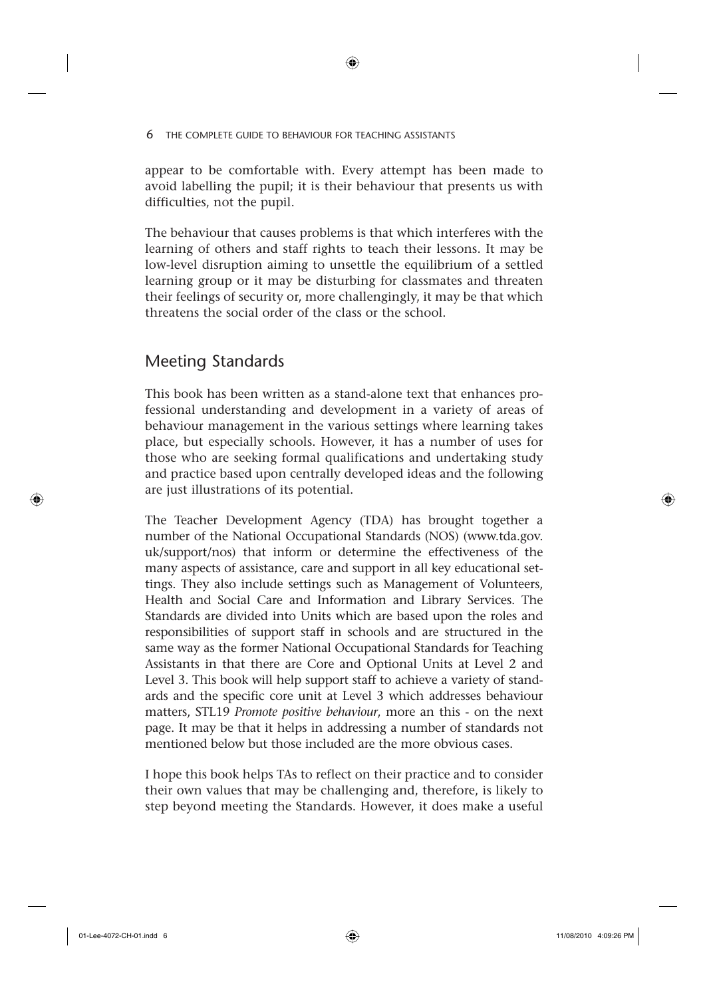♠

6 THE COMPLETE GUIDE TO BEHAVIOUR FOR TEACHING ASSISTANTS

appear to be comfortable with. Every attempt has been made to avoid labelling the pupil; it is their behaviour that presents us with difficulties, not the pupil.

The behaviour that causes problems is that which interferes with the learning of others and staff rights to teach their lessons. It may be low-level disruption aiming to unsettle the equilibrium of a settled learning group or it may be disturbing for classmates and threaten their feelings of security or, more challengingly, it may be that which threatens the social order of the class or the school.

# Meeting Standards

This book has been written as a stand-alone text that enhances professional understanding and development in a variety of areas of behaviour management in the various settings where learning takes place, but especially schools. However, it has a number of uses for those who are seeking formal qualifications and undertaking study and practice based upon centrally developed ideas and the following are just illustrations of its potential.

The Teacher Development Agency (TDA) has brought together a number of the National Occupational Standards (NOS) (www.tda.gov. uk/support/nos) that inform or determine the effectiveness of the many aspects of assistance, care and support in all key educational settings. They also include settings such as Management of Volunteers, Health and Social Care and Information and Library Services. The Standards are divided into Units which are based upon the roles and responsibilities of support staff in schools and are structured in the same way as the former National Occupational Standards for Teaching Assistants in that there are Core and Optional Units at Level 2 and Level 3. This book will help support staff to achieve a variety of standards and the specific core unit at Level 3 which addresses behaviour matters, STL19 *Promote positive behaviour*, more an this - on the next page. It may be that it helps in addressing a number of standards not mentioned below but those included are the more obvious cases.

I hope this book helps TAs to reflect on their practice and to consider their own values that may be challenging and, therefore, is likely to step beyond meeting the Standards. However, it does make a useful

⊕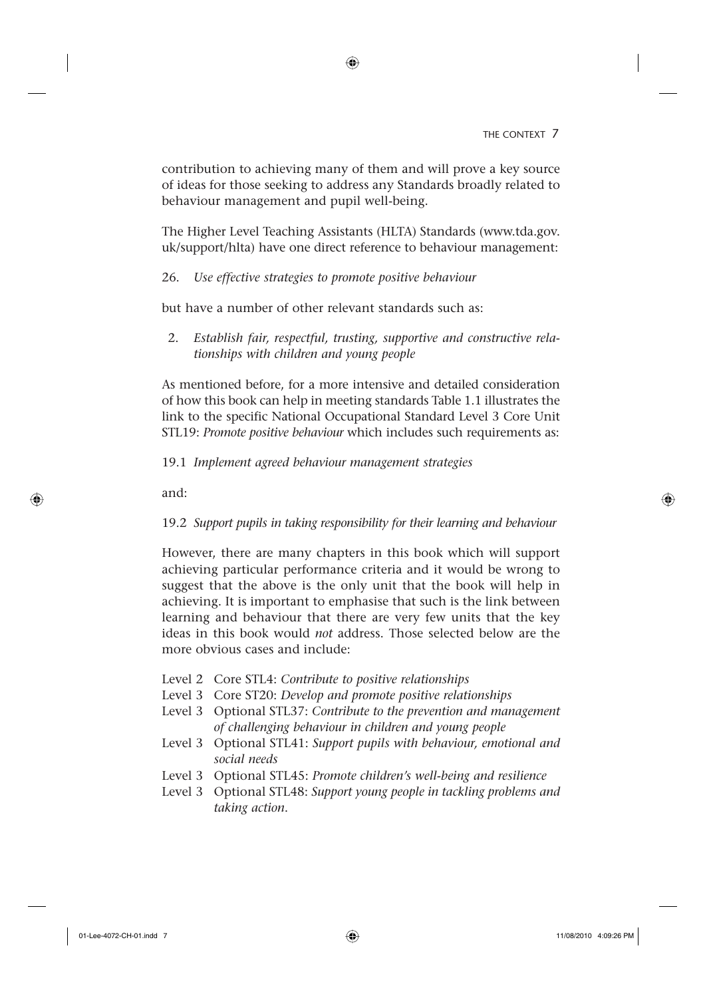THE CONTEXT 7

contribution to achieving many of them and will prove a key source of ideas for those seeking to address any Standards broadly related to behaviour management and pupil well-being.

♠

The Higher Level Teaching Assistants (HLTA) Standards (www.tda.gov. uk/support/hlta) have one direct reference to behaviour management:

26. *Use effective strategies to promote positive behaviour*

but have a number of other relevant standards such as:

2. *Establish fair, respectful, trusting, supportive and constructive relationships with children and young people*

As mentioned before, for a more intensive and detailed consideration of how this book can help in meeting standards Table 1.1 illustrates the link to the specific National Occupational Standard Level 3 Core Unit STL19: *Promote positive behaviour* which includes such requirements as:

19.1 *Implement agreed behaviour management strategies*

and:

⊕

### 19.2 *Support pupils in taking responsibility for their learning and behaviour*

However, there are many chapters in this book which will support achieving particular performance criteria and it would be wrong to suggest that the above is the only unit that the book will help in achieving. It is important to emphasise that such is the link between learning and behaviour that there are very few units that the key ideas in this book would *not* address. Those selected below are the more obvious cases and include:

- Level 2 Core STL4: *Contribute to positive relationships*
- Level 3 Core ST20: *Develop and promote positive relationships*
- Level 3 Optional STL37: *Contribute to the prevention and management of challenging behaviour in children and young people*
- Level 3 Optional STL41: *Support pupils with behaviour, emotional and social needs*
- Level 3 Optional STL45: *Promote children's well-being and resilience*
- Level 3 Optional STL48: *Support young people in tackling problems and taking action*.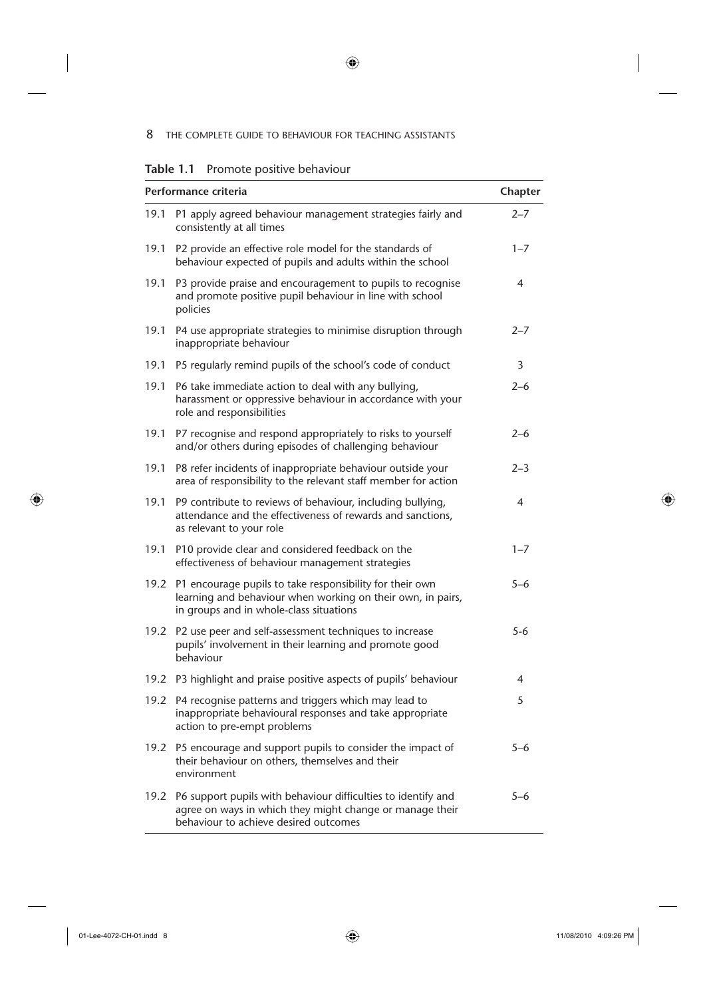$\bigoplus$ 

**Table 1.1** Promote positive behaviour

| Performance criteria |                                                                                                                                                                    | Chapter |
|----------------------|--------------------------------------------------------------------------------------------------------------------------------------------------------------------|---------|
| 19.1                 | P1 apply agreed behaviour management strategies fairly and<br>consistently at all times                                                                            | $2 - 7$ |
| 19.1                 | P2 provide an effective role model for the standards of<br>behaviour expected of pupils and adults within the school                                               | $1 - 7$ |
| 19.1                 | P3 provide praise and encouragement to pupils to recognise<br>and promote positive pupil behaviour in line with school<br>policies                                 | 4       |
| 19.1                 | P4 use appropriate strategies to minimise disruption through<br>inappropriate behaviour                                                                            | $2 - 7$ |
| 19.1                 | P5 regularly remind pupils of the school's code of conduct                                                                                                         | 3       |
| 19.1                 | P6 take immediate action to deal with any bullying,<br>harassment or oppressive behaviour in accordance with your<br>role and responsibilities                     | $2 - 6$ |
| 19.1                 | P7 recognise and respond appropriately to risks to yourself<br>and/or others during episodes of challenging behaviour                                              | $2 - 6$ |
| 19.1                 | P8 refer incidents of inappropriate behaviour outside your<br>area of responsibility to the relevant staff member for action                                       | $2 - 3$ |
| 19.1                 | P9 contribute to reviews of behaviour, including bullying,<br>attendance and the effectiveness of rewards and sanctions,<br>as relevant to your role               | 4       |
| 19.1                 | P10 provide clear and considered feedback on the<br>effectiveness of behaviour management strategies                                                               | $1 - 7$ |
| 19.2                 | P1 encourage pupils to take responsibility for their own<br>learning and behaviour when working on their own, in pairs,<br>in groups and in whole-class situations | $5 - 6$ |
| 19.2                 | P2 use peer and self-assessment techniques to increase<br>pupils' involvement in their learning and promote good<br>behaviour                                      | 5-6     |
| 19.2                 | P3 highlight and praise positive aspects of pupils' behaviour                                                                                                      | 4       |
|                      | 19.2 P4 recognise patterns and triggers which may lead to<br>inappropriate behavioural responses and take appropriate<br>action to pre-empt problems               | 5       |
| 19.2                 | P5 encourage and support pupils to consider the impact of<br>their behaviour on others, themselves and their<br>environment                                        | $5 - 6$ |
| 19.2                 | P6 support pupils with behaviour difficulties to identify and<br>agree on ways in which they might change or manage their<br>behaviour to achieve desired outcomes | $5 - 6$ |

 $\bigoplus$ 

 $\bigoplus$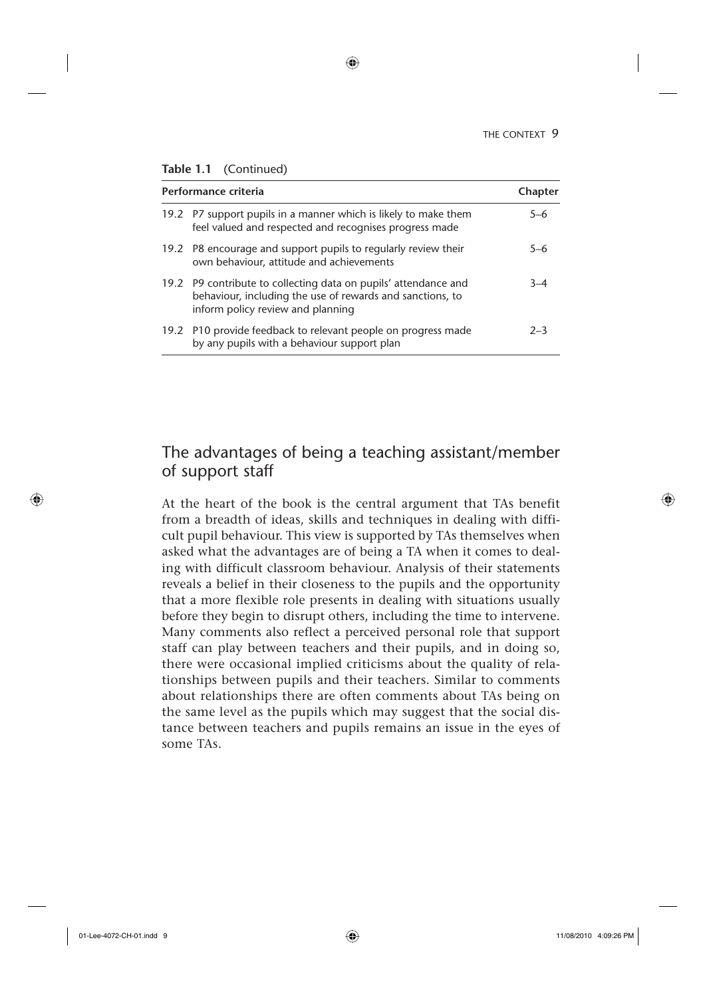| Performance criteria |                                                                                                                                                                   | Chapter |
|----------------------|-------------------------------------------------------------------------------------------------------------------------------------------------------------------|---------|
|                      | 19.2 P7 support pupils in a manner which is likely to make them<br>feel valued and respected and recognises progress made                                         | $5-6$   |
|                      | 19.2 P8 encourage and support pupils to regularly review their<br>own behaviour, attitude and achievements                                                        | 5–6     |
|                      | 19.2 P9 contribute to collecting data on pupils' attendance and<br>behaviour, including the use of rewards and sanctions, to<br>inform policy review and planning |         |
|                      | 19.2 P10 provide feedback to relevant people on progress made<br>by any pupils with a behaviour support plan                                                      | $2 - 3$ |

◈

# The advantages of being a teaching assistant/member of support staff

At the heart of the book is the central argument that TAs benefit from a breadth of ideas, skills and techniques in dealing with difficult pupil behaviour. This view is supported by TAs themselves when asked what the advantages are of being a TA when it comes to dealing with difficult classroom behaviour. Analysis of their statements reveals a belief in their closeness to the pupils and the opportunity that a more flexible role presents in dealing with situations usually before they begin to disrupt others, including the time to intervene. Many comments also reflect a perceived personal role that support staff can play between teachers and their pupils, and in doing so, there were occasional implied criticisms about the quality of relationships between pupils and their teachers. Similar to comments about relationships there are often comments about TAs being on the same level as the pupils which may suggest that the social distance between teachers and pupils remains an issue in the eyes of some TAs.

⊕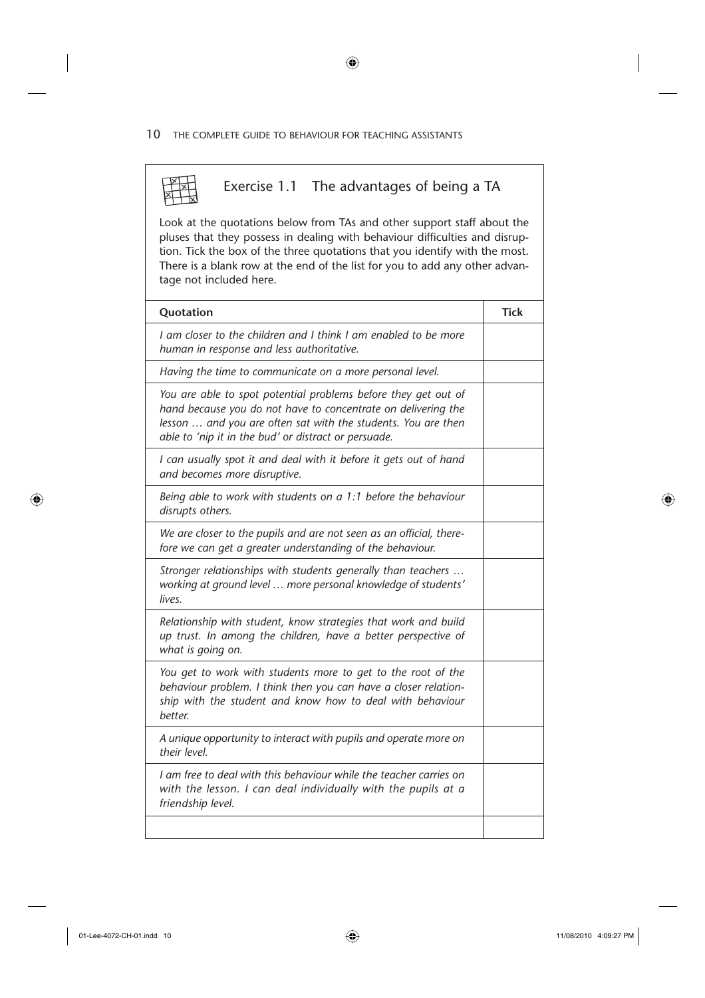# Exercise 1.1 The advantages of being a TA

 $\bigoplus$ 

Look at the quotations below from TAs and other support staff about the pluses that they possess in dealing with behaviour difficulties and disruption. Tick the box of the three quotations that you identify with the most. There is a blank row at the end of the list for you to add any other advantage not included here.

| Quotation                                                                                                                                                                                                                                                | <b>Tick</b> |
|----------------------------------------------------------------------------------------------------------------------------------------------------------------------------------------------------------------------------------------------------------|-------------|
| I am closer to the children and I think I am enabled to be more<br>human in response and less authoritative.                                                                                                                                             |             |
| Having the time to communicate on a more personal level.                                                                                                                                                                                                 |             |
| You are able to spot potential problems before they get out of<br>hand because you do not have to concentrate on delivering the<br>lesson  and you are often sat with the students. You are then<br>able to 'nip it in the bud' or distract or persuade. |             |
| I can usually spot it and deal with it before it gets out of hand<br>and becomes more disruptive.                                                                                                                                                        |             |
| Being able to work with students on a 1:1 before the behaviour<br>disrupts others.                                                                                                                                                                       |             |
| We are closer to the pupils and are not seen as an official, there-<br>fore we can get a greater understanding of the behaviour.                                                                                                                         |             |
| Stronger relationships with students generally than teachers<br>working at ground level  more personal knowledge of students'<br>lives.                                                                                                                  |             |
| Relationship with student, know strategies that work and build<br>up trust. In among the children, have a better perspective of<br>what is going on.                                                                                                     |             |
| You get to work with students more to get to the root of the<br>behaviour problem. I think then you can have a closer relation-<br>ship with the student and know how to deal with behaviour<br>better.                                                  |             |
| A unique opportunity to interact with pupils and operate more on<br>their level.                                                                                                                                                                         |             |
| I am free to deal with this behaviour while the teacher carries on<br>with the lesson. I can deal individually with the pupils at a<br>friendship level.                                                                                                 |             |
|                                                                                                                                                                                                                                                          |             |

⊕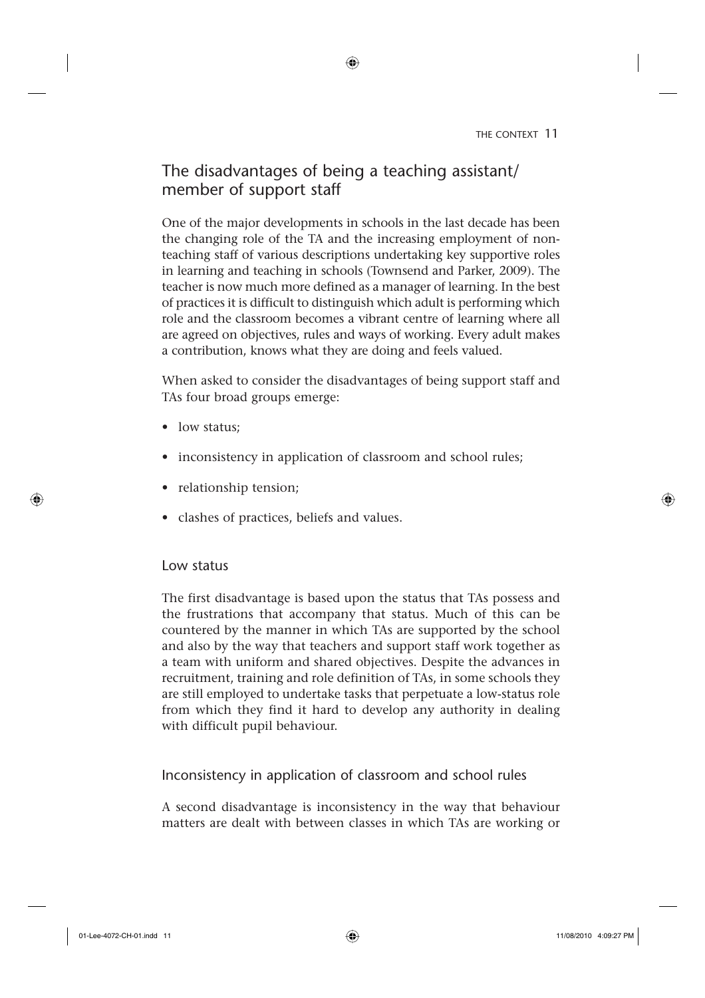THE CONTEXT 11

# The disadvantages of being a teaching assistant/ member of support staff

One of the major developments in schools in the last decade has been the changing role of the TA and the increasing employment of nonteaching staff of various descriptions undertaking key supportive roles in learning and teaching in schools (Townsend and Parker, 2009). The teacher is now much more defined as a manager of learning. In the best of practices it is difficult to distinguish which adult is performing which role and the classroom becomes a vibrant centre of learning where all are agreed on objectives, rules and ways of working. Every adult makes a contribution, knows what they are doing and feels valued.

When asked to consider the disadvantages of being support staff and TAs four broad groups emerge:

- low status:
- inconsistency in application of classroom and school rules;
- relationship tension;
- clashes of practices, beliefs and values.

### Low status

⊕

The first disadvantage is based upon the status that TAs possess and the frustrations that accompany that status. Much of this can be countered by the manner in which TAs are supported by the school and also by the way that teachers and support staff work together as a team with uniform and shared objectives. Despite the advances in recruitment, training and role definition of TAs, in some schools they are still employed to undertake tasks that perpetuate a low-status role from which they find it hard to develop any authority in dealing with difficult pupil behaviour.

Inconsistency in application of classroom and school rules

A second disadvantage is inconsistency in the way that behaviour matters are dealt with between classes in which TAs are working or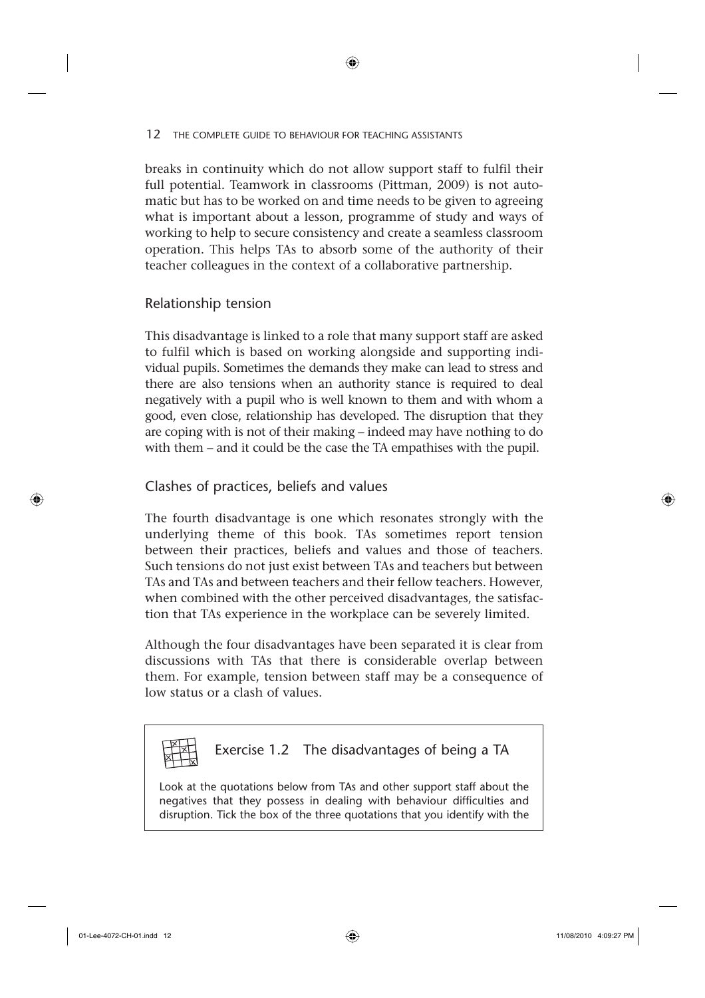breaks in continuity which do not allow support staff to fulfil their full potential. Teamwork in classrooms (Pittman, 2009) is not automatic but has to be worked on and time needs to be given to agreeing what is important about a lesson, programme of study and ways of working to help to secure consistency and create a seamless classroom operation. This helps TAs to absorb some of the authority of their teacher colleagues in the context of a collaborative partnership.

◈

### Relationship tension

This disadvantage is linked to a role that many support staff are asked to fulfil which is based on working alongside and supporting individual pupils. Sometimes the demands they make can lead to stress and there are also tensions when an authority stance is required to deal negatively with a pupil who is well known to them and with whom a good, even close, relationship has developed. The disruption that they are coping with is not of their making – indeed may have nothing to do with them – and it could be the case the TA empathises with the pupil.

Clashes of practices, beliefs and values

The fourth disadvantage is one which resonates strongly with the underlying theme of this book. TAs sometimes report tension between their practices, beliefs and values and those of teachers. Such tensions do not just exist between TAs and teachers but between TAs and TAs and between teachers and their fellow teachers. However, when combined with the other perceived disadvantages, the satisfaction that TAs experience in the workplace can be severely limited.

Although the four disadvantages have been separated it is clear from discussions with TAs that there is considerable overlap between them. For example, tension between staff may be a consequence of low status or a clash of values.

# Exercise 1.2 The disadvantages of being a TA

Look at the quotations below from TAs and other support staff about the negatives that they possess in dealing with behaviour difficulties and disruption. Tick the box of the three quotations that you identify with the

⊕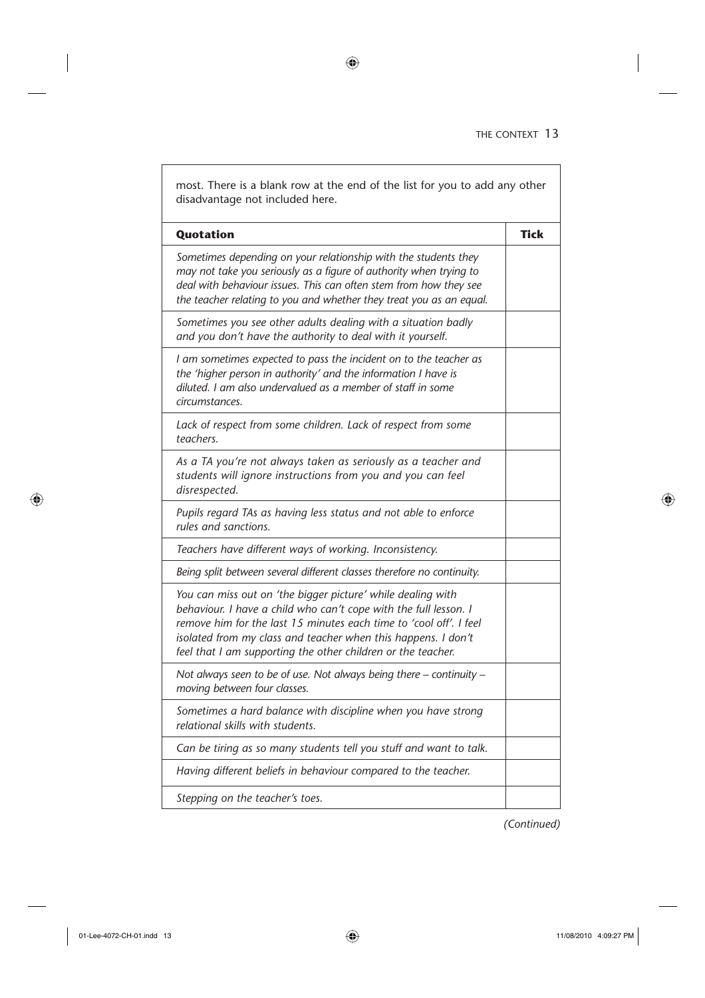THE CONTEXT 13

| Sometimes depending on your relationship with the students they<br>may not take you seriously as a figure of authority when trying to<br>deal with behaviour issues. This can often stem from how they see<br>the teacher relating to you and whether they treat you as an equal.<br>Sometimes you see other adults dealing with a situation badly<br>circumstances.<br>Teachers have different ways of working. Inconsistency.<br>You can miss out on 'the bigger picture' while dealing with                                                                                                                                                                                                                                                                                                                                                                                                                                                                                                                                                             |  |
|------------------------------------------------------------------------------------------------------------------------------------------------------------------------------------------------------------------------------------------------------------------------------------------------------------------------------------------------------------------------------------------------------------------------------------------------------------------------------------------------------------------------------------------------------------------------------------------------------------------------------------------------------------------------------------------------------------------------------------------------------------------------------------------------------------------------------------------------------------------------------------------------------------------------------------------------------------------------------------------------------------------------------------------------------------|--|
| and you don't have the authority to deal with it yourself.<br>I am sometimes expected to pass the incident on to the teacher as<br>the 'higher person in authority' and the information I have is<br>diluted. I am also undervalued as a member of staff in some<br>Lack of respect from some children. Lack of respect from some<br>teachers.<br>As a TA you're not always taken as seriously as a teacher and<br>students will ignore instructions from you and you can feel<br>disrespected.<br>Pupils regard TAs as having less status and not able to enforce<br>rules and sanctions.<br>Being split between several different classes therefore no continuity.<br>behaviour. I have a child who can't cope with the full lesson. I<br>remove him for the last 15 minutes each time to 'cool off'. I feel<br>isolated from my class and teacher when this happens. I don't<br>feel that I am supporting the other children or the teacher.<br>Not always seen to be of use. Not always being there $-$ continuity $-$<br>moving between four classes. |  |
|                                                                                                                                                                                                                                                                                                                                                                                                                                                                                                                                                                                                                                                                                                                                                                                                                                                                                                                                                                                                                                                            |  |
|                                                                                                                                                                                                                                                                                                                                                                                                                                                                                                                                                                                                                                                                                                                                                                                                                                                                                                                                                                                                                                                            |  |
|                                                                                                                                                                                                                                                                                                                                                                                                                                                                                                                                                                                                                                                                                                                                                                                                                                                                                                                                                                                                                                                            |  |
|                                                                                                                                                                                                                                                                                                                                                                                                                                                                                                                                                                                                                                                                                                                                                                                                                                                                                                                                                                                                                                                            |  |
|                                                                                                                                                                                                                                                                                                                                                                                                                                                                                                                                                                                                                                                                                                                                                                                                                                                                                                                                                                                                                                                            |  |
|                                                                                                                                                                                                                                                                                                                                                                                                                                                                                                                                                                                                                                                                                                                                                                                                                                                                                                                                                                                                                                                            |  |
|                                                                                                                                                                                                                                                                                                                                                                                                                                                                                                                                                                                                                                                                                                                                                                                                                                                                                                                                                                                                                                                            |  |
|                                                                                                                                                                                                                                                                                                                                                                                                                                                                                                                                                                                                                                                                                                                                                                                                                                                                                                                                                                                                                                                            |  |
|                                                                                                                                                                                                                                                                                                                                                                                                                                                                                                                                                                                                                                                                                                                                                                                                                                                                                                                                                                                                                                                            |  |
| Sometimes a hard balance with discipline when you have strong<br>relational skills with students.                                                                                                                                                                                                                                                                                                                                                                                                                                                                                                                                                                                                                                                                                                                                                                                                                                                                                                                                                          |  |
| Can be tiring as so many students tell you stuff and want to talk.                                                                                                                                                                                                                                                                                                                                                                                                                                                                                                                                                                                                                                                                                                                                                                                                                                                                                                                                                                                         |  |
| Having different beliefs in behaviour compared to the teacher.                                                                                                                                                                                                                                                                                                                                                                                                                                                                                                                                                                                                                                                                                                                                                                                                                                                                                                                                                                                             |  |

 $\bigoplus$ 

*(Continued)*

 $\bigoplus$ 

 $\bigoplus$